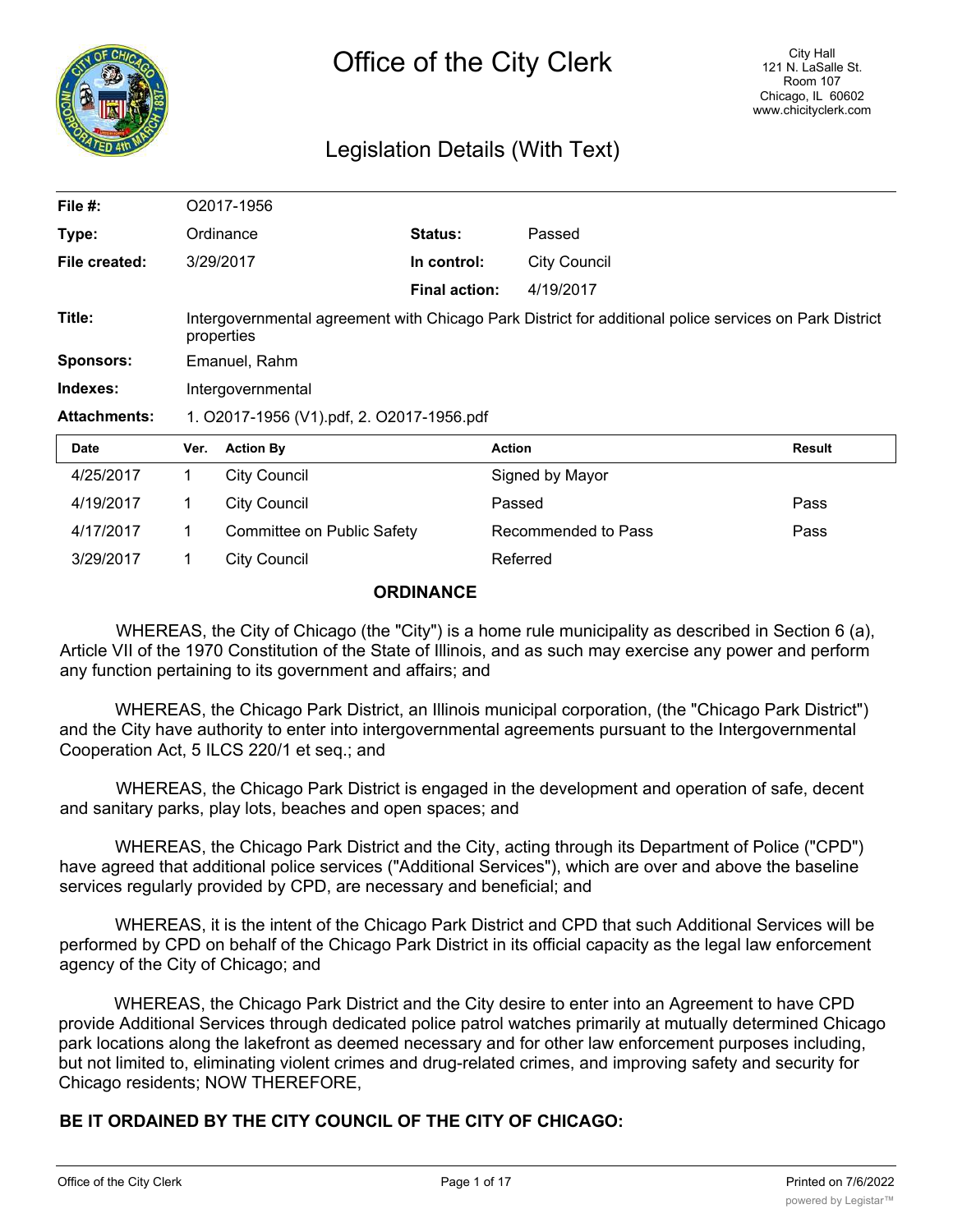

# Legislation Details (With Text)

| File $#$ :          | O2017-1956                                                                                                           |                            |                      |                     |               |
|---------------------|----------------------------------------------------------------------------------------------------------------------|----------------------------|----------------------|---------------------|---------------|
| Type:               | Ordinance                                                                                                            |                            | <b>Status:</b>       | Passed              |               |
| File created:       |                                                                                                                      | 3/29/2017                  | In control:          | <b>City Council</b> |               |
|                     |                                                                                                                      |                            | <b>Final action:</b> | 4/19/2017           |               |
| Title:              | Intergovernmental agreement with Chicago Park District for additional police services on Park District<br>properties |                            |                      |                     |               |
| <b>Sponsors:</b>    | Emanuel, Rahm                                                                                                        |                            |                      |                     |               |
| Indexes:            | Intergovernmental                                                                                                    |                            |                      |                     |               |
| <b>Attachments:</b> | 1. O2017-1956 (V1).pdf, 2. O2017-1956.pdf                                                                            |                            |                      |                     |               |
| <b>Date</b>         | Ver.                                                                                                                 | <b>Action By</b>           |                      | <b>Action</b>       | <b>Result</b> |
| 4/25/2017           | $\mathbf 1$                                                                                                          | <b>City Council</b>        |                      | Signed by Mayor     |               |
| 4/19/2017           | 1                                                                                                                    | <b>City Council</b>        |                      | Passed              | Pass          |
| 4/17/2017           | 1                                                                                                                    | Committee on Public Safety |                      | Recommended to Pass | Pass          |
| 3/29/2017           |                                                                                                                      | <b>City Council</b>        |                      | Referred            |               |

#### **ORDINANCE**

WHEREAS, the City of Chicago (the "City") is a home rule municipality as described in Section 6 (a), Article VII of the 1970 Constitution of the State of Illinois, and as such may exercise any power and perform any function pertaining to its government and affairs; and

WHEREAS, the Chicago Park District, an Illinois municipal corporation, (the "Chicago Park District") and the City have authority to enter into intergovernmental agreements pursuant to the Intergovernmental Cooperation Act, 5 ILCS 220/1 et seq.; and

WHEREAS, the Chicago Park District is engaged in the development and operation of safe, decent and sanitary parks, play lots, beaches and open spaces; and

WHEREAS, the Chicago Park District and the City, acting through its Department of Police ("CPD") have agreed that additional police services ("Additional Services"), which are over and above the baseline services regularly provided by CPD, are necessary and beneficial; and

WHEREAS, it is the intent of the Chicago Park District and CPD that such Additional Services will be performed by CPD on behalf of the Chicago Park District in its official capacity as the legal law enforcement agency of the City of Chicago; and

WHEREAS, the Chicago Park District and the City desire to enter into an Agreement to have CPD provide Additional Services through dedicated police patrol watches primarily at mutually determined Chicago park locations along the lakefront as deemed necessary and for other law enforcement purposes including, but not limited to, eliminating violent crimes and drug-related crimes, and improving safety and security for Chicago residents; NOW THEREFORE,

## **BE IT ORDAINED BY THE CITY COUNCIL OF THE CITY OF CHICAGO:**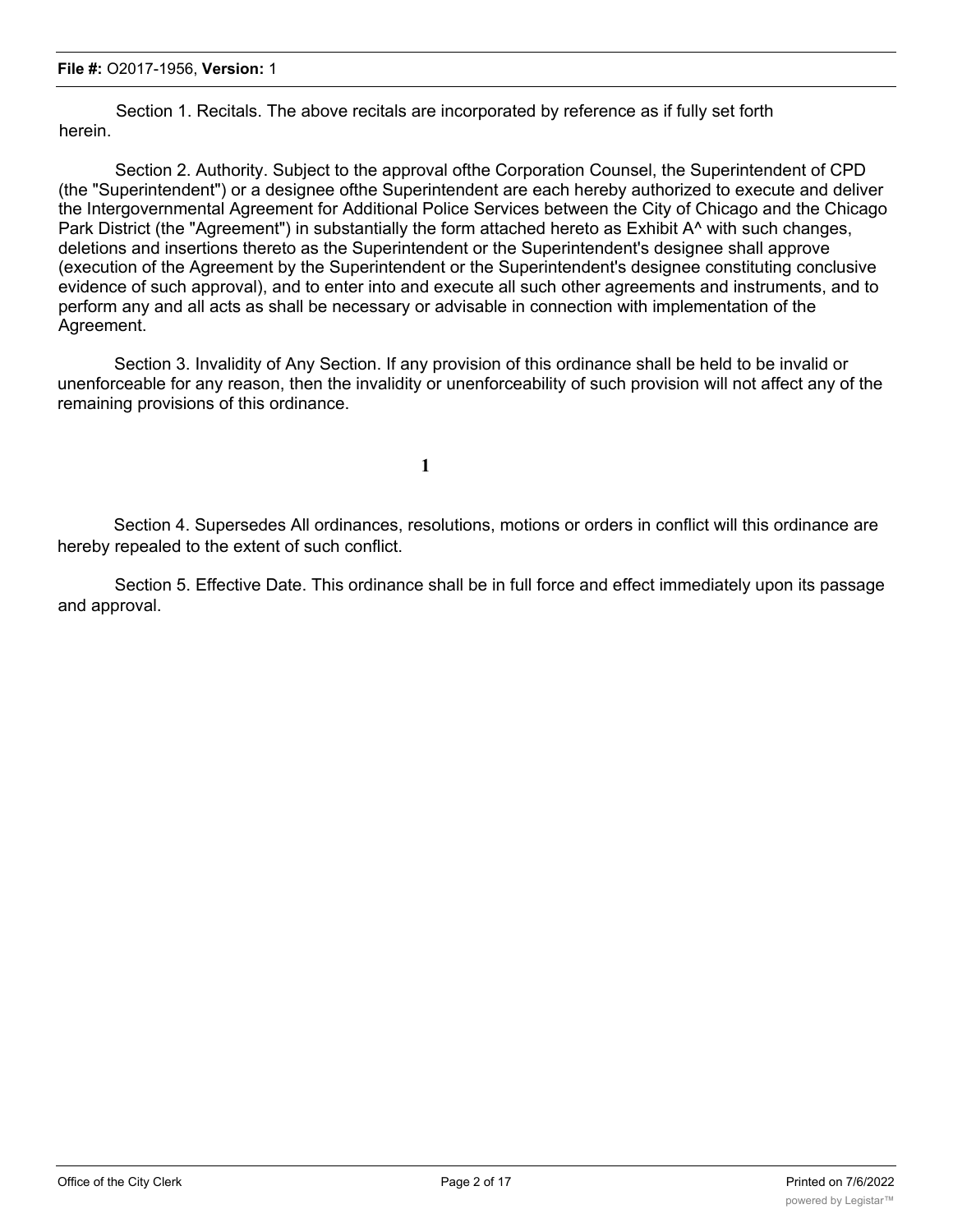Section 1. Recitals. The above recitals are incorporated by reference as if fully set forth herein.

Section 2. Authority. Subject to the approval ofthe Corporation Counsel, the Superintendent of CPD (the "Superintendent") or a designee ofthe Superintendent are each hereby authorized to execute and deliver the Intergovernmental Agreement for Additional Police Services between the City of Chicago and the Chicago Park District (the "Agreement") in substantially the form attached hereto as Exhibit A<sup>^</sup> with such changes, deletions and insertions thereto as the Superintendent or the Superintendent's designee shall approve (execution of the Agreement by the Superintendent or the Superintendent's designee constituting conclusive evidence of such approval), and to enter into and execute all such other agreements and instruments, and to perform any and all acts as shall be necessary or advisable in connection with implementation of the Agreement.

Section 3. Invalidity of Any Section. If any provision of this ordinance shall be held to be invalid or unenforceable for any reason, then the invalidity or unenforceability of such provision will not affect any of the remaining provisions of this ordinance.

**1**

Section 4. Supersedes All ordinances, resolutions, motions or orders in conflict will this ordinance are hereby repealed to the extent of such conflict.

Section 5. Effective Date. This ordinance shall be in full force and effect immediately upon its passage and approval.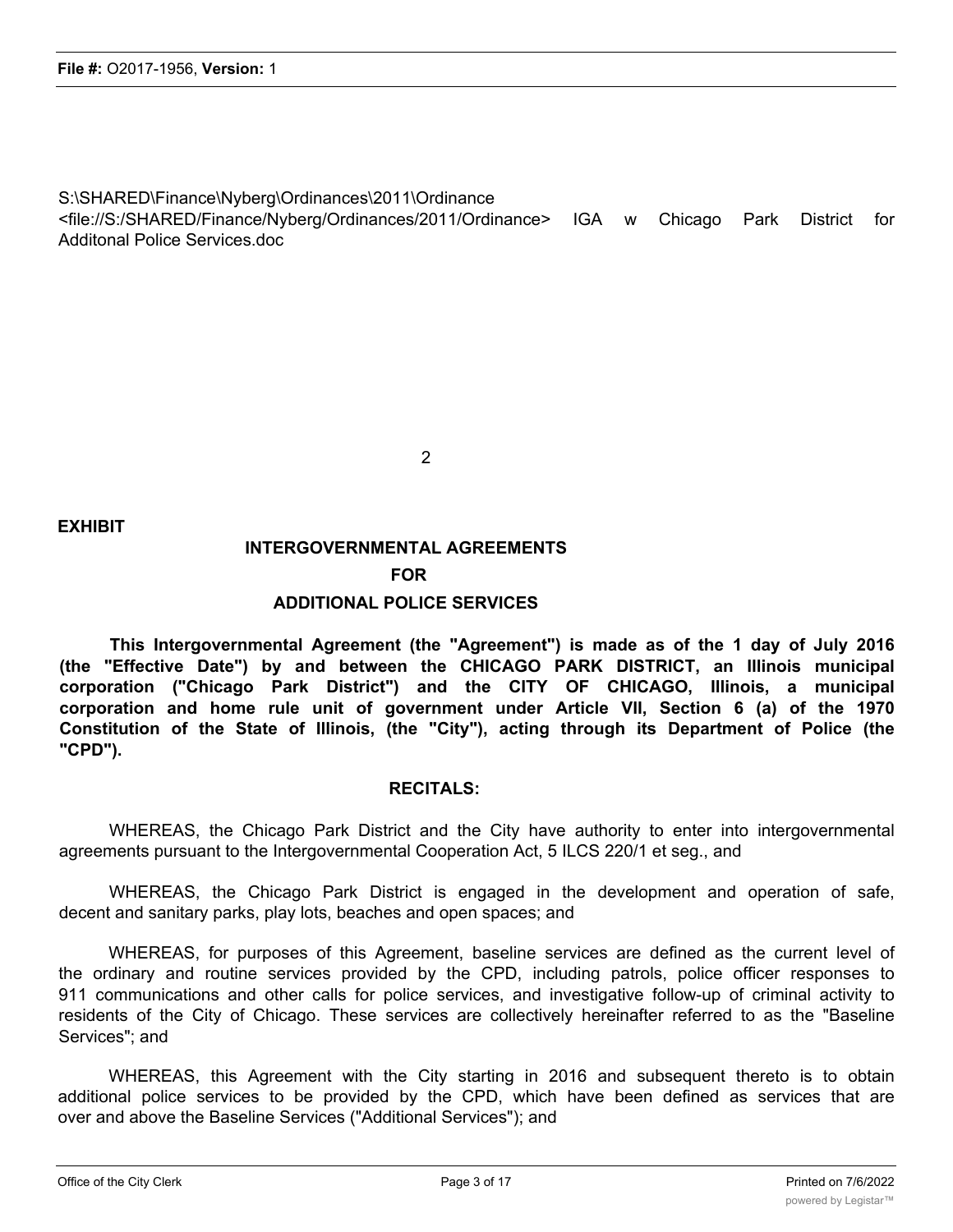S:\SHARED\Finance\Nyberg\Ordinances\2011\Ordinance

<file://S:/SHARED/Finance/Nyberg/Ordinances/2011/Ordinance> IGA w Chicago Park District for Additonal Police Services.doc

2

**EXHIBIT**

# **INTERGOVERNMENTAL AGREEMENTS FOR**

## **ADDITIONAL POLICE SERVICES**

**This Intergovernmental Agreement (the "Agreement") is made as of the 1 day of July 2016 (the "Effective Date") by and between the CHICAGO PARK DISTRICT, an Illinois municipal corporation ("Chicago Park District") and the CITY OF CHICAGO, Illinois, a municipal corporation and home rule unit of government under Article VII, Section 6 (a) of the 1970 Constitution of the State of Illinois, (the "City"), acting through its Department of Police (the "CPD").**

#### **RECITALS:**

WHEREAS, the Chicago Park District and the City have authority to enter into intergovernmental agreements pursuant to the Intergovernmental Cooperation Act, 5 ILCS 220/1 et seg., and

WHEREAS, the Chicago Park District is engaged in the development and operation of safe, decent and sanitary parks, play lots, beaches and open spaces; and

WHEREAS, for purposes of this Agreement, baseline services are defined as the current level of the ordinary and routine services provided by the CPD, including patrols, police officer responses to 911 communications and other calls for police services, and investigative follow-up of criminal activity to residents of the City of Chicago. These services are collectively hereinafter referred to as the "Baseline Services"; and

WHEREAS, this Agreement with the City starting in 2016 and subsequent thereto is to obtain additional police services to be provided by the CPD, which have been defined as services that are over and above the Baseline Services ("Additional Services"); and

 $W_{\rm eff}$  is the intention of the intention  $P_{\rm eff}$  and  $C_{\rm eff}$  that the Additional Services and  $\Delta$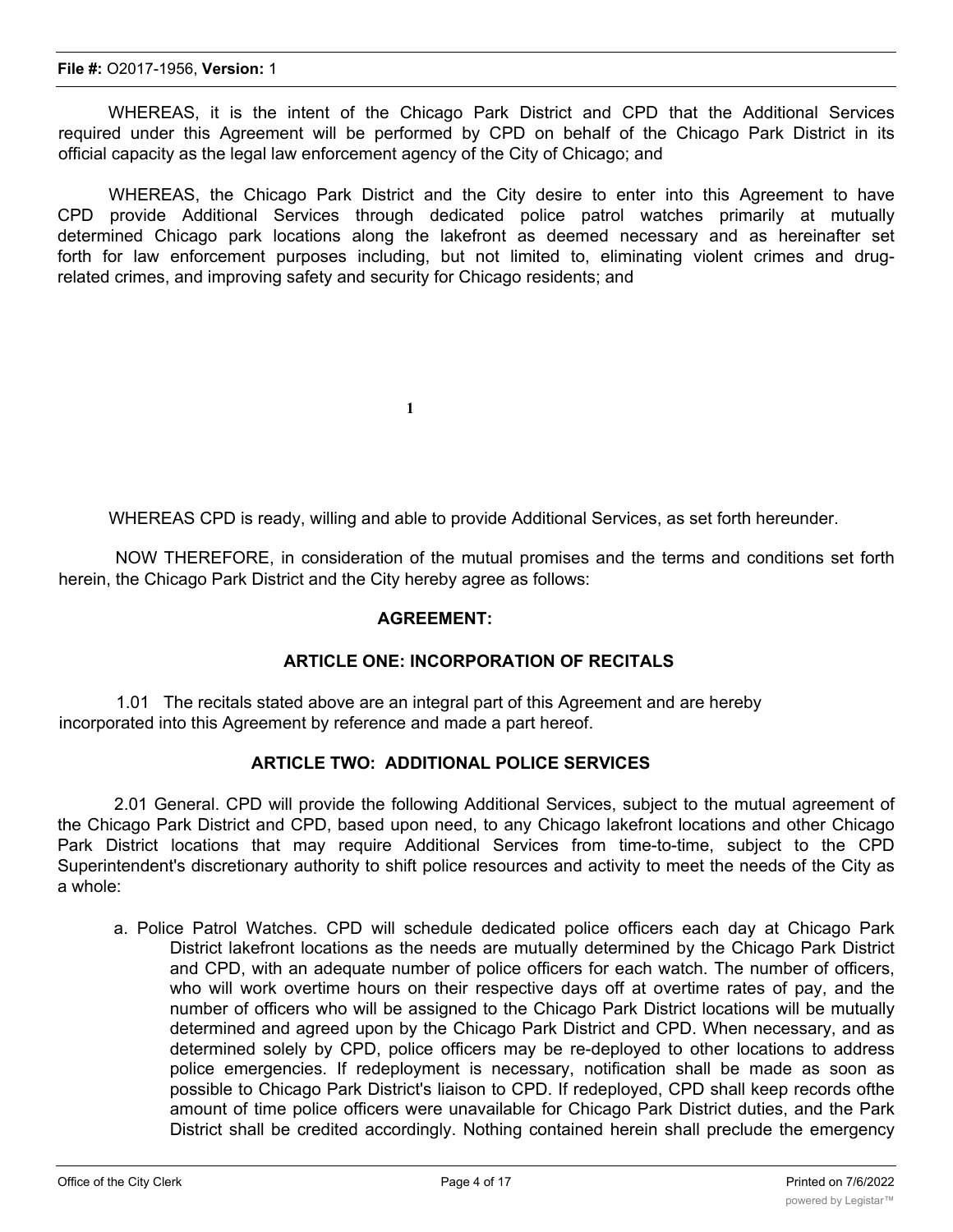WHEREAS, it is the intent of the Chicago Park District and CPD that the Additional Services required under this Agreement will be performed by CPD on behalf of the Chicago Park District in its official capacity as the legal law enforcement agency of the City of Chicago; and

WHEREAS, the Chicago Park District and the City desire to enter into this Agreement to have CPD provide Additional Services through dedicated police patrol watches primarily at mutually determined Chicago park locations along the lakefront as deemed necessary and as hereinafter set forth for law enforcement purposes including, but not limited to, eliminating violent crimes and drugrelated crimes, and improving safety and security for Chicago residents; and

WHEREAS CPD is ready, willing and able to provide Additional Services, as set forth hereunder.

NOW THEREFORE, in consideration of the mutual promises and the terms and conditions set forth herein, the Chicago Park District and the City hereby agree as follows:

#### **AGREEMENT:**

#### **ARTICLE ONE: INCORPORATION OF RECITALS**

1.01 The recitals stated above are an integral part of this Agreement and are hereby incorporated into this Agreement by reference and made a part hereof.

**1**

#### **ARTICLE TWO: ADDITIONAL POLICE SERVICES**

2.01 General. CPD will provide the following Additional Services, subject to the mutual agreement of the Chicago Park District and CPD, based upon need, to any Chicago lakefront locations and other Chicago Park District locations that may require Additional Services from time-to-time, subject to the CPD Superintendent's discretionary authority to shift police resources and activity to meet the needs of the City as a whole:

a. Police Patrol Watches. CPD will schedule dedicated police officers each day at Chicago Park District lakefront locations as the needs are mutually determined by the Chicago Park District and CPD, with an adequate number of police officers for each watch. The number of officers, who will work overtime hours on their respective days off at overtime rates of pay, and the number of officers who will be assigned to the Chicago Park District locations will be mutually determined and agreed upon by the Chicago Park District and CPD. When necessary, and as determined solely by CPD, police officers may be re-deployed to other locations to address police emergencies. If redeployment is necessary, notification shall be made as soon as possible to Chicago Park District's liaison to CPD. If redeployed, CPD shall keep records ofthe amount of time police officers were unavailable for Chicago Park District duties, and the Park District shall be credited accordingly. Nothing contained herein shall preclude the emergency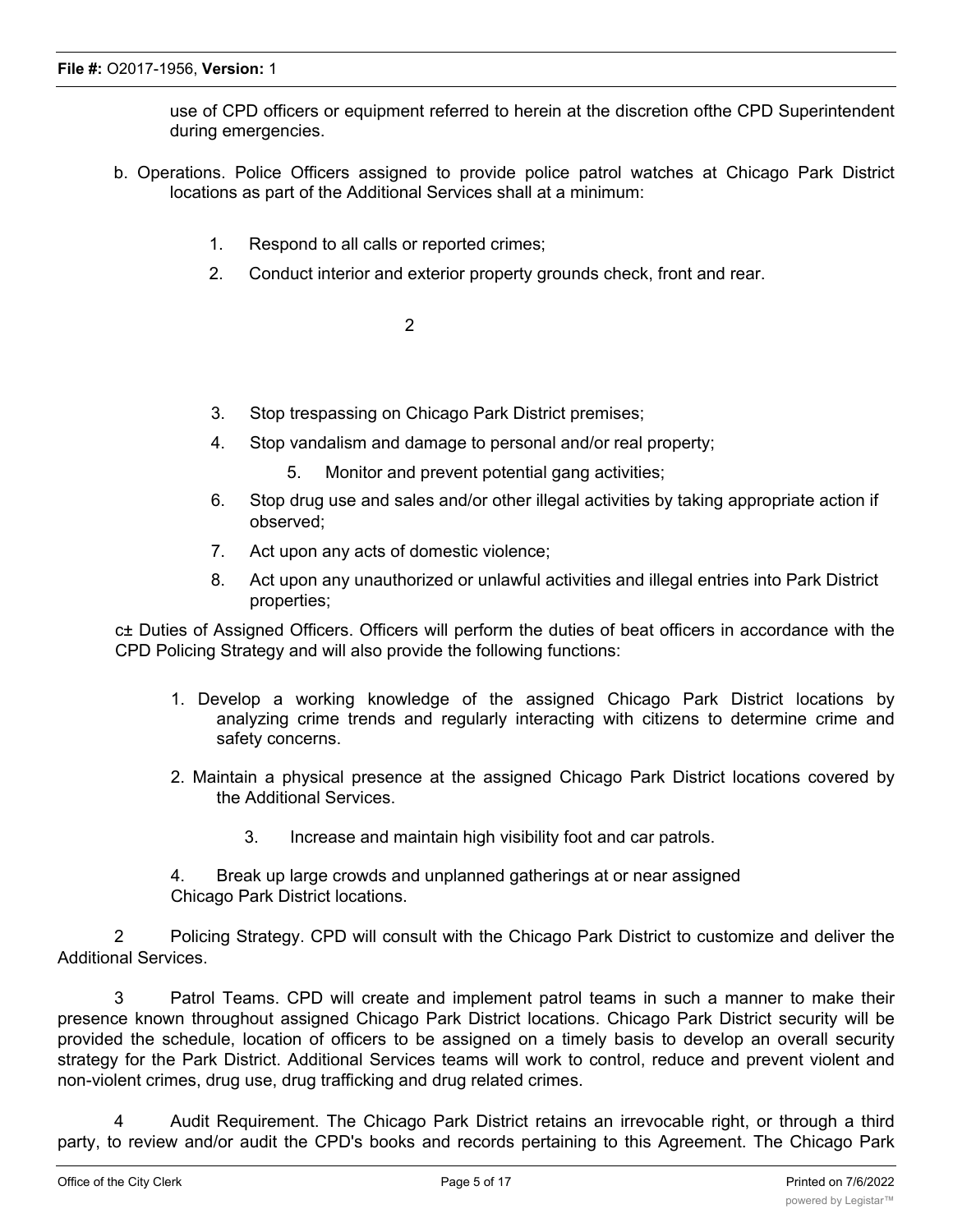use of CPD officers or equipment referred to herein at the discretion ofthe CPD Superintendent during emergencies.

- b. Operations. Police Officers assigned to provide police patrol watches at Chicago Park District locations as part of the Additional Services shall at a minimum:
	- 1. Respond to all calls or reported crimes;
	- 2. Conduct interior and exterior property grounds check, front and rear.

2

- 3. Stop trespassing on Chicago Park District premises;
- 4. Stop vandalism and damage to personal and/or real property;
	- 5. Monitor and prevent potential gang activities;
- 6. Stop drug use and sales and/or other illegal activities by taking appropriate action if observed;
- 7. Act upon any acts of domestic violence;
- 8. Act upon any unauthorized or unlawful activities and illegal entries into Park District properties;

c± Duties of Assigned Officers. Officers will perform the duties of beat officers in accordance with the CPD Policing Strategy and will also provide the following functions:

- 1. Develop a working knowledge of the assigned Chicago Park District locations by analyzing crime trends and regularly interacting with citizens to determine crime and safety concerns.
- 2. Maintain a physical presence at the assigned Chicago Park District locations covered by the Additional Services.
	- 3. Increase and maintain high visibility foot and car patrols.
- 4. Break up large crowds and unplanned gatherings at or near assigned Chicago Park District locations.

2 Policing Strategy. CPD will consult with the Chicago Park District to customize and deliver the Additional Services.

3 Patrol Teams. CPD will create and implement patrol teams in such a manner to make their presence known throughout assigned Chicago Park District locations. Chicago Park District security will be provided the schedule, location of officers to be assigned on a timely basis to develop an overall security strategy for the Park District. Additional Services teams will work to control, reduce and prevent violent and non-violent crimes, drug use, drug trafficking and drug related crimes.

4 Audit Requirement. The Chicago Park District retains an irrevocable right, or through a third party, to review and/or audit the CPD's books and records pertaining to this Agreement. The Chicago Park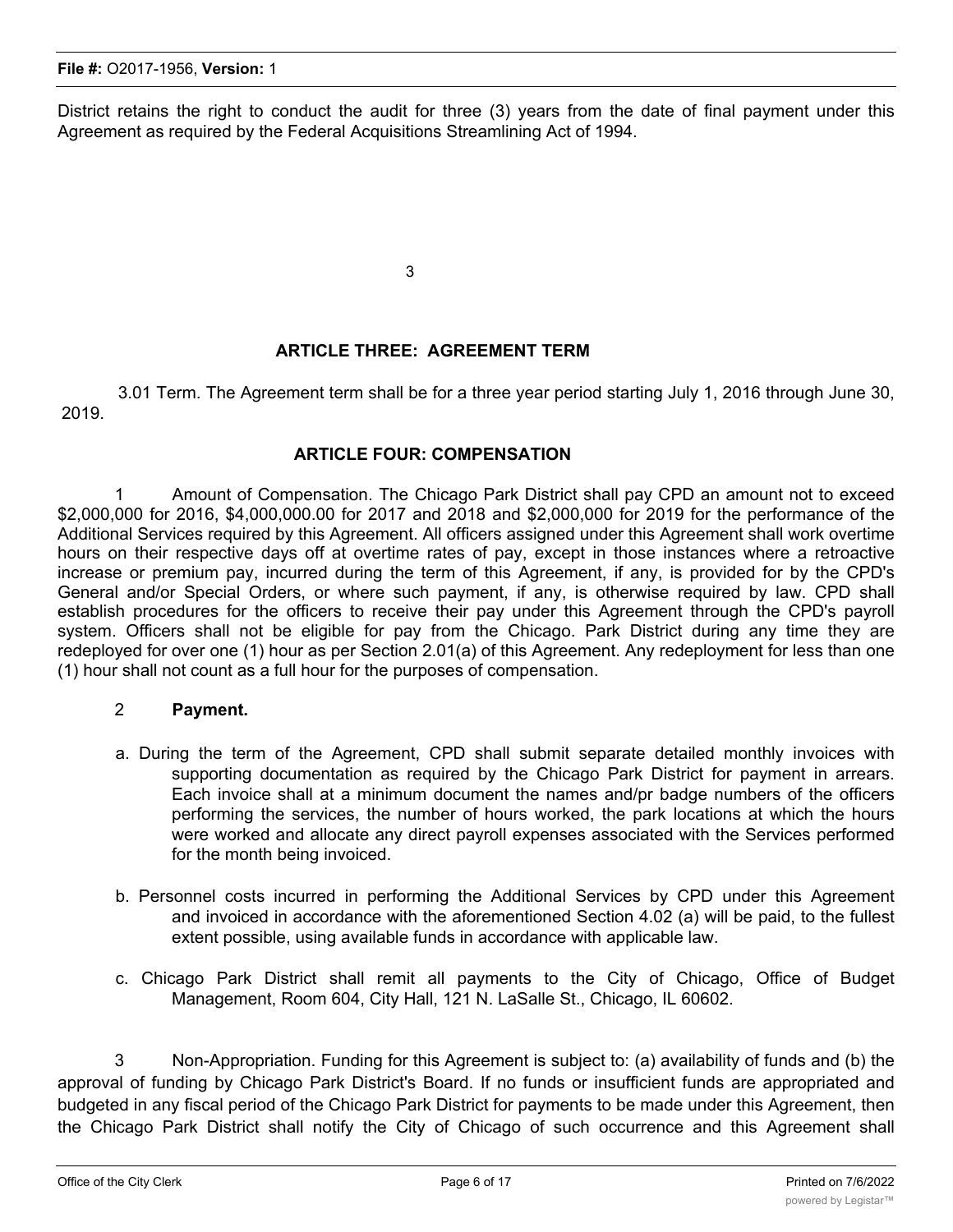District retains the right to conduct the audit for three (3) years from the date of final payment under this Agreement as required by the Federal Acquisitions Streamlining Act of 1994.

3

## **ARTICLE THREE: AGREEMENT TERM**

3.01 Term. The Agreement term shall be for a three year period starting July 1, 2016 through June 30, 2019.

## **ARTICLE FOUR: COMPENSATION**

1 Amount of Compensation. The Chicago Park District shall pay CPD an amount not to exceed \$2,000,000 for 2016, \$4,000,000.00 for 2017 and 2018 and \$2,000,000 for 2019 for the performance of the Additional Services required by this Agreement. All officers assigned under this Agreement shall work overtime hours on their respective days off at overtime rates of pay, except in those instances where a retroactive increase or premium pay, incurred during the term of this Agreement, if any, is provided for by the CPD's General and/or Special Orders, or where such payment, if any, is otherwise required by law. CPD shall establish procedures for the officers to receive their pay under this Agreement through the CPD's payroll system. Officers shall not be eligible for pay from the Chicago. Park District during any time they are redeployed for over one (1) hour as per Section 2.01(a) of this Agreement. Any redeployment for less than one (1) hour shall not count as a full hour for the purposes of compensation.

#### 2 **Payment.**

- a. During the term of the Agreement, CPD shall submit separate detailed monthly invoices with supporting documentation as required by the Chicago Park District for payment in arrears. Each invoice shall at a minimum document the names and/pr badge numbers of the officers performing the services, the number of hours worked, the park locations at which the hours were worked and allocate any direct payroll expenses associated with the Services performed for the month being invoiced.
- b. Personnel costs incurred in performing the Additional Services by CPD under this Agreement and invoiced in accordance with the aforementioned Section 4.02 (a) will be paid, to the fullest extent possible, using available funds in accordance with applicable law.
- c. Chicago Park District shall remit all payments to the City of Chicago, Office of Budget Management, Room 604, City Hall, 121 N. LaSalle St., Chicago, IL 60602.

3 Non-Appropriation. Funding for this Agreement is subject to: (a) availability of funds and (b) the approval of funding by Chicago Park District's Board. If no funds or insufficient funds are appropriated and budgeted in any fiscal period of the Chicago Park District for payments to be made under this Agreement, then the Chicago Park District shall notify the City of Chicago of such occurrence and this Agreement shall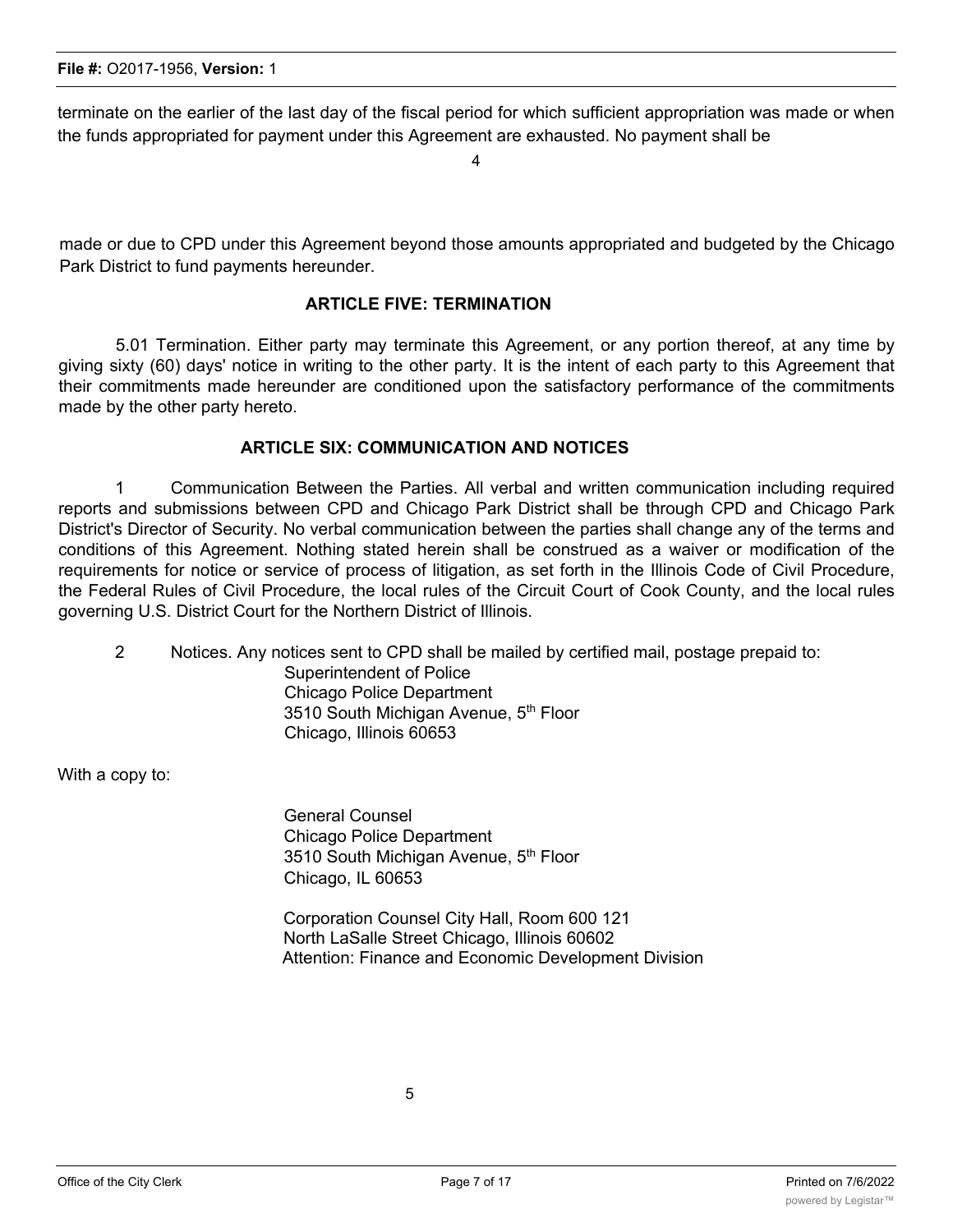terminate on the earlier of the last day of the fiscal period for which sufficient appropriation was made or when the funds appropriated for payment under this Agreement are exhausted. No payment shall be

4

made or due to CPD under this Agreement beyond those amounts appropriated and budgeted by the Chicago Park District to fund payments hereunder.

### **ARTICLE FIVE: TERMINATION**

5.01 Termination. Either party may terminate this Agreement, or any portion thereof, at any time by giving sixty (60) days' notice in writing to the other party. It is the intent of each party to this Agreement that their commitments made hereunder are conditioned upon the satisfactory performance of the commitments made by the other party hereto.

#### **ARTICLE SIX: COMMUNICATION AND NOTICES**

1 Communication Between the Parties. All verbal and written communication including required reports and submissions between CPD and Chicago Park District shall be through CPD and Chicago Park District's Director of Security. No verbal communication between the parties shall change any of the terms and conditions of this Agreement. Nothing stated herein shall be construed as a waiver or modification of the requirements for notice or service of process of litigation, as set forth in the Illinois Code of Civil Procedure, the Federal Rules of Civil Procedure, the local rules of the Circuit Court of Cook County, and the local rules governing U.S. District Court for the Northern District of Illinois.

2 Notices. Any notices sent to CPD shall be mailed by certified mail, postage prepaid to:

Superintendent of Police Chicago Police Department 3510 South Michigan Avenue, 5<sup>th</sup> Floor Chicago, Illinois 60653

With a copy to:

General Counsel Chicago Police Department 3510 South Michigan Avenue, 5<sup>th</sup> Floor Chicago, IL 60653

Corporation Counsel City Hall, Room 600 121 North LaSalle Street Chicago, Illinois 60602 Attention: Finance and Economic Development Division

5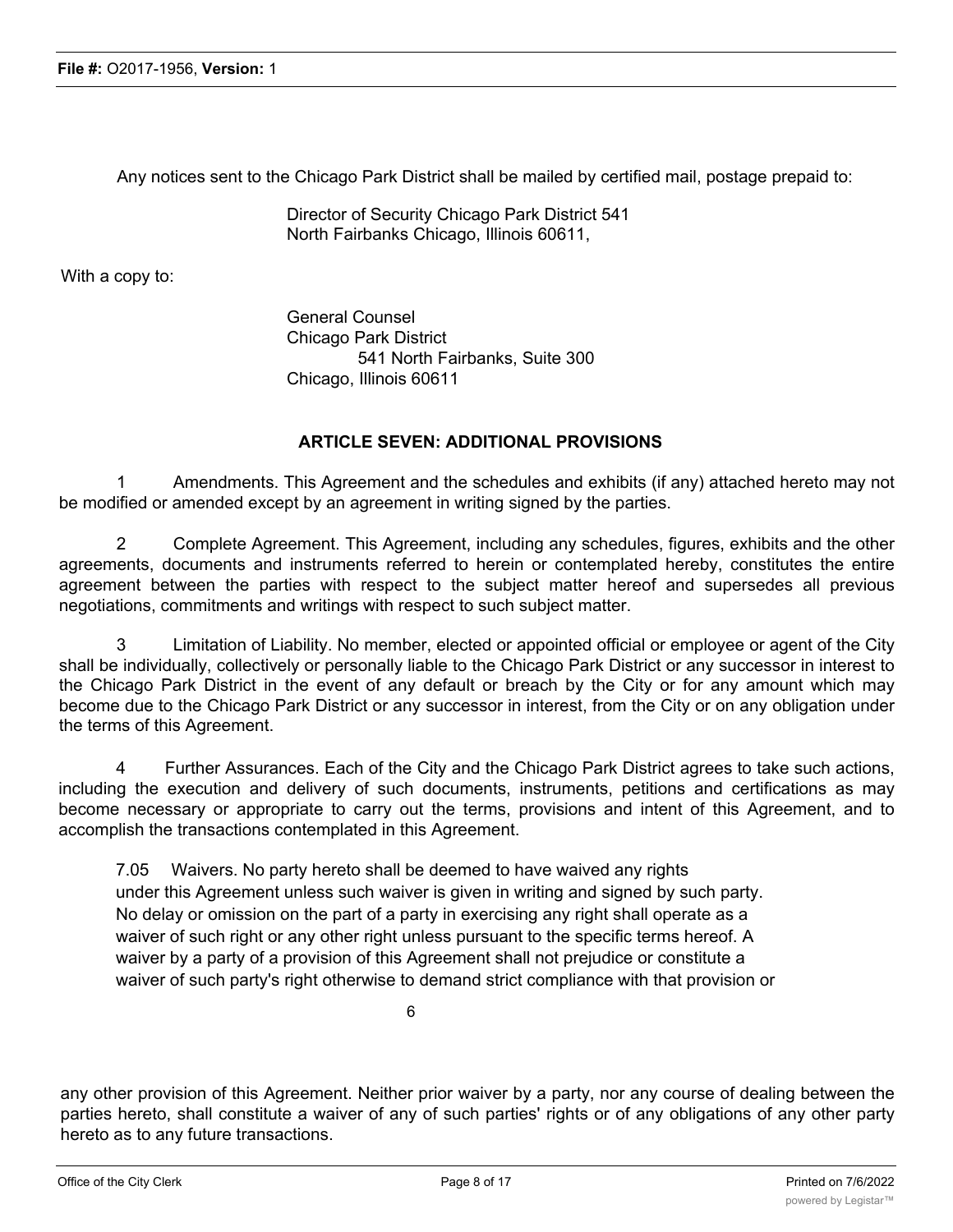Any notices sent to the Chicago Park District shall be mailed by certified mail, postage prepaid to:

Director of Security Chicago Park District 541 North Fairbanks Chicago, Illinois 60611,

With a copy to:

General Counsel Chicago Park District 541 North Fairbanks, Suite 300 Chicago, Illinois 60611

#### **ARTICLE SEVEN: ADDITIONAL PROVISIONS**

Amendments. This Agreement and the schedules and exhibits (if any) attached hereto may not be modified or amended except by an agreement in writing signed by the parties.

2 Complete Agreement. This Agreement, including any schedules, figures, exhibits and the other agreements, documents and instruments referred to herein or contemplated hereby, constitutes the entire agreement between the parties with respect to the subject matter hereof and supersedes all previous negotiations, commitments and writings with respect to such subject matter.

3 Limitation of Liability. No member, elected or appointed official or employee or agent of the City shall be individually, collectively or personally liable to the Chicago Park District or any successor in interest to the Chicago Park District in the event of any default or breach by the City or for any amount which may become due to the Chicago Park District or any successor in interest, from the City or on any obligation under the terms of this Agreement.

4 Further Assurances. Each of the City and the Chicago Park District agrees to take such actions, including the execution and delivery of such documents, instruments, petitions and certifications as may become necessary or appropriate to carry out the terms, provisions and intent of this Agreement, and to accomplish the transactions contemplated in this Agreement.

7.05 Waivers. No party hereto shall be deemed to have waived any rights under this Agreement unless such waiver is given in writing and signed by such party. No delay or omission on the part of a party in exercising any right shall operate as a waiver of such right or any other right unless pursuant to the specific terms hereof. A waiver by a party of a provision of this Agreement shall not prejudice or constitute a waiver of such party's right otherwise to demand strict compliance with that provision or

6

any other provision of this Agreement. Neither prior waiver by a party, nor any course of dealing between the parties hereto, shall constitute a waiver of any of such parties' rights or of any obligations of any other party hereto as to any future transactions.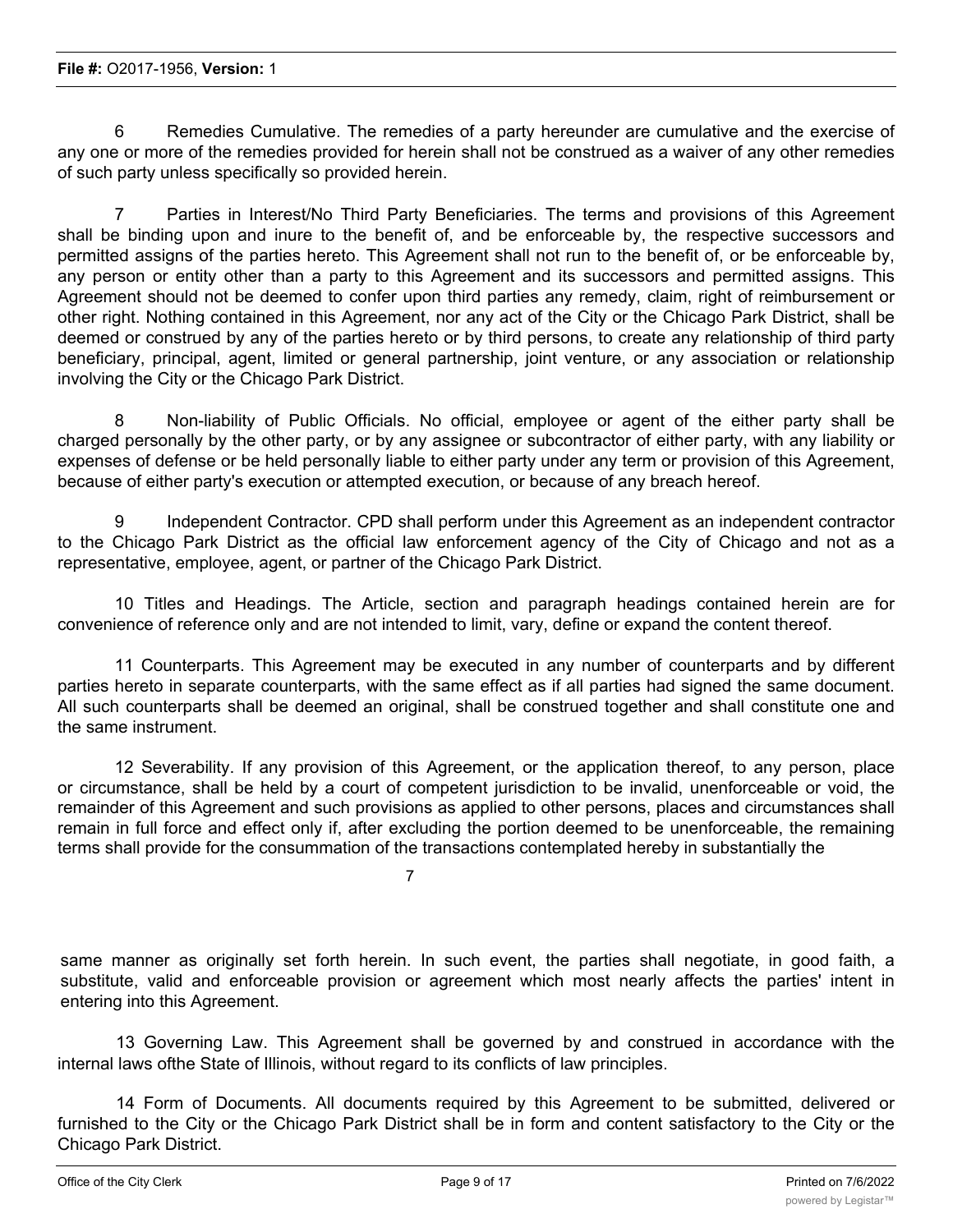6 Remedies Cumulative. The remedies of a party hereunder are cumulative and the exercise of any one or more of the remedies provided for herein shall not be construed as a waiver of any other remedies of such party unless specifically so provided herein.

7 Parties in Interest/No Third Party Beneficiaries. The terms and provisions of this Agreement shall be binding upon and inure to the benefit of, and be enforceable by, the respective successors and permitted assigns of the parties hereto. This Agreement shall not run to the benefit of, or be enforceable by, any person or entity other than a party to this Agreement and its successors and permitted assigns. This Agreement should not be deemed to confer upon third parties any remedy, claim, right of reimbursement or other right. Nothing contained in this Agreement, nor any act of the City or the Chicago Park District, shall be deemed or construed by any of the parties hereto or by third persons, to create any relationship of third party beneficiary, principal, agent, limited or general partnership, joint venture, or any association or relationship involving the City or the Chicago Park District.

8 Non-liability of Public Officials. No official, employee or agent of the either party shall be charged personally by the other party, or by any assignee or subcontractor of either party, with any liability or expenses of defense or be held personally liable to either party under any term or provision of this Agreement, because of either party's execution or attempted execution, or because of any breach hereof.

9 Independent Contractor. CPD shall perform under this Agreement as an independent contractor to the Chicago Park District as the official law enforcement agency of the City of Chicago and not as a representative, employee, agent, or partner of the Chicago Park District.

10 Titles and Headings. The Article, section and paragraph headings contained herein are for convenience of reference only and are not intended to limit, vary, define or expand the content thereof.

11 Counterparts. This Agreement may be executed in any number of counterparts and by different parties hereto in separate counterparts, with the same effect as if all parties had signed the same document. All such counterparts shall be deemed an original, shall be construed together and shall constitute one and the same instrument.

12 Severability. If any provision of this Agreement, or the application thereof, to any person, place or circumstance, shall be held by a court of competent jurisdiction to be invalid, unenforceable or void, the remainder of this Agreement and such provisions as applied to other persons, places and circumstances shall remain in full force and effect only if, after excluding the portion deemed to be unenforceable, the remaining terms shall provide for the consummation of the transactions contemplated hereby in substantially the

7

same manner as originally set forth herein. In such event, the parties shall negotiate, in good faith, a substitute, valid and enforceable provision or agreement which most nearly affects the parties' intent in entering into this Agreement.

13 Governing Law. This Agreement shall be governed by and construed in accordance with the internal laws ofthe State of Illinois, without regard to its conflicts of law principles.

14 Form of Documents. All documents required by this Agreement to be submitted, delivered or furnished to the City or the Chicago Park District shall be in form and content satisfactory to the City or the Chicago Park District.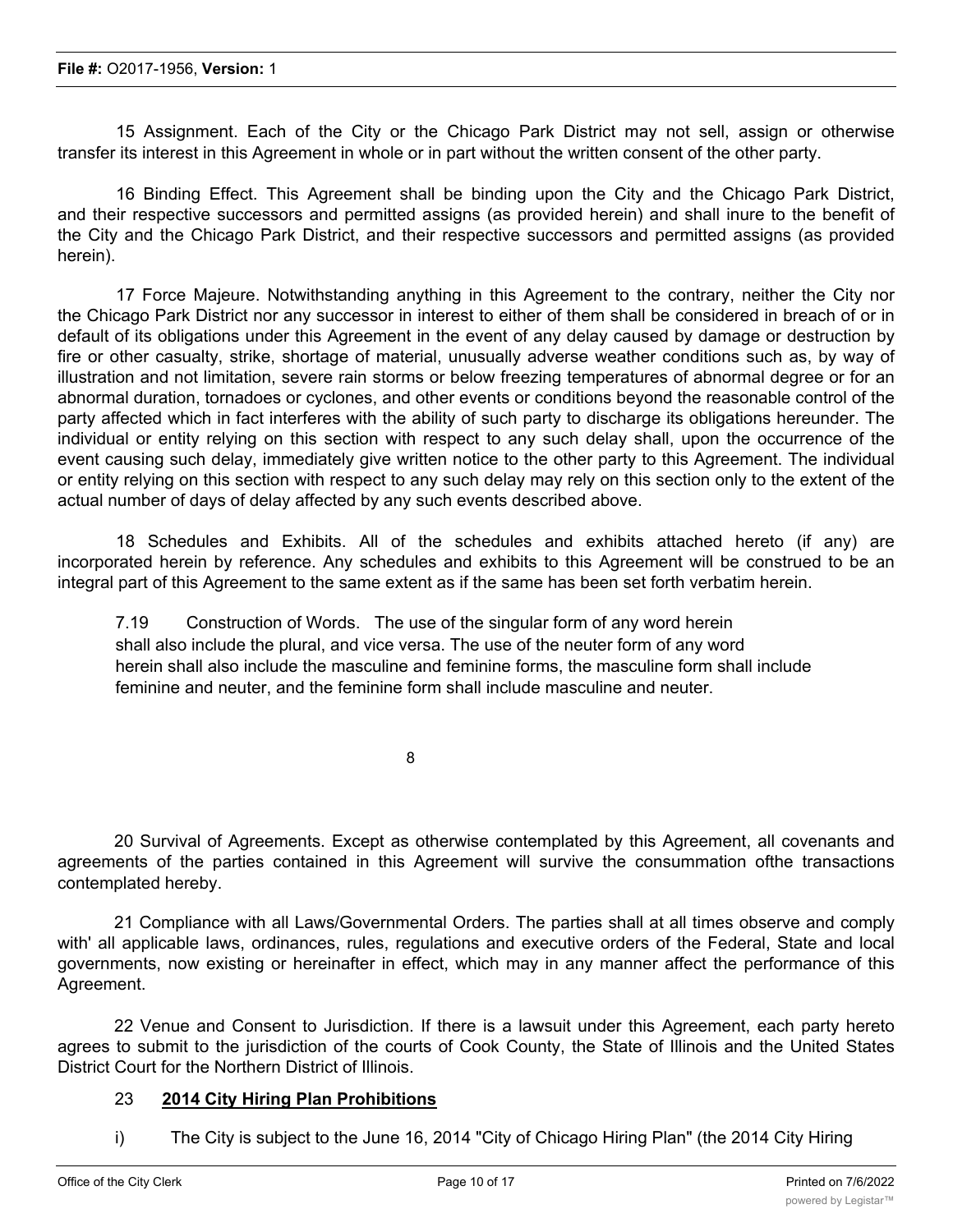15 Assignment. Each of the City or the Chicago Park District may not sell, assign or otherwise transfer its interest in this Agreement in whole or in part without the written consent of the other party.

16 Binding Effect. This Agreement shall be binding upon the City and the Chicago Park District, and their respective successors and permitted assigns (as provided herein) and shall inure to the benefit of the City and the Chicago Park District, and their respective successors and permitted assigns (as provided herein).

17 Force Majeure. Notwithstanding anything in this Agreement to the contrary, neither the City nor the Chicago Park District nor any successor in interest to either of them shall be considered in breach of or in default of its obligations under this Agreement in the event of any delay caused by damage or destruction by fire or other casualty, strike, shortage of material, unusually adverse weather conditions such as, by way of illustration and not limitation, severe rain storms or below freezing temperatures of abnormal degree or for an abnormal duration, tornadoes or cyclones, and other events or conditions beyond the reasonable control of the party affected which in fact interferes with the ability of such party to discharge its obligations hereunder. The individual or entity relying on this section with respect to any such delay shall, upon the occurrence of the event causing such delay, immediately give written notice to the other party to this Agreement. The individual or entity relying on this section with respect to any such delay may rely on this section only to the extent of the actual number of days of delay affected by any such events described above.

18 Schedules and Exhibits. All of the schedules and exhibits attached hereto (if any) are incorporated herein by reference. Any schedules and exhibits to this Agreement will be construed to be an integral part of this Agreement to the same extent as if the same has been set forth verbatim herein.

7.19 Construction of Words. The use of the singular form of any word herein shall also include the plural, and vice versa. The use of the neuter form of any word herein shall also include the masculine and feminine forms, the masculine form shall include feminine and neuter, and the feminine form shall include masculine and neuter.

8

20 Survival of Agreements. Except as otherwise contemplated by this Agreement, all covenants and agreements of the parties contained in this Agreement will survive the consummation ofthe transactions contemplated hereby.

21 Compliance with all Laws/Governmental Orders. The parties shall at all times observe and comply with' all applicable laws, ordinances, rules, regulations and executive orders of the Federal, State and local governments, now existing or hereinafter in effect, which may in any manner affect the performance of this Agreement.

22 Venue and Consent to Jurisdiction. If there is a lawsuit under this Agreement, each party hereto agrees to submit to the jurisdiction of the courts of Cook County, the State of Illinois and the United States District Court for the Northern District of Illinois.

## 23 **2014 City Hiring Plan Prohibitions**

i) The City is subject to the June 16, 2014 "City of Chicago Hiring Plan" (the 2014 City Hiring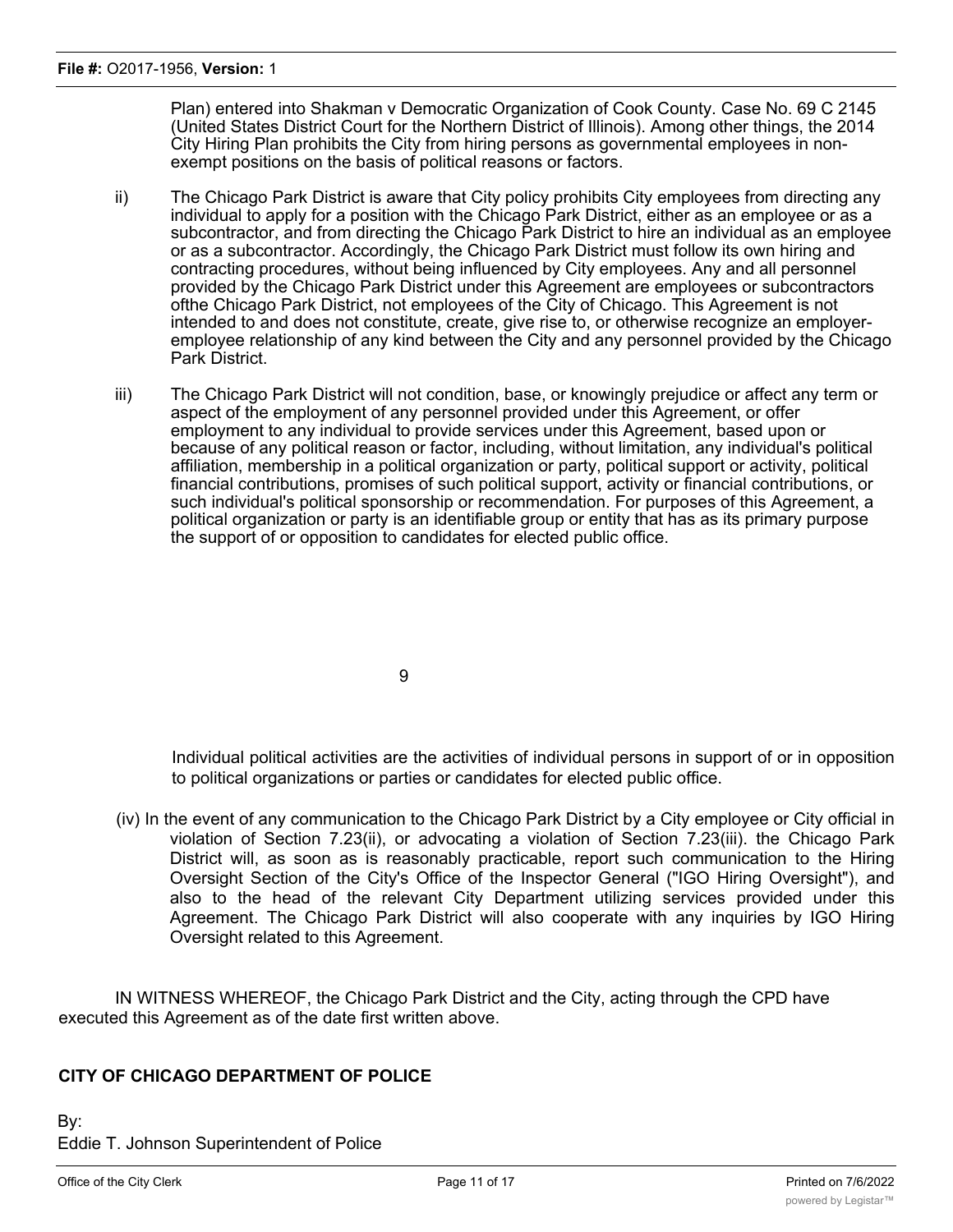Plan) entered into Shakman v Democratic Organization of Cook County. Case No. 69 C 2145 (United States District Court for the Northern District of Illinois). Among other things, the 2014 City Hiring Plan prohibits the City from hiring persons as governmental employees in nonexempt positions on the basis of political reasons or factors.

- ii) The Chicago Park District is aware that City policy prohibits City employees from directing any individual to apply for a position with the Chicago Park District, either as an employee or as a subcontractor, and from directing the Chicago Park District to hire an individual as an emplovee or as a subcontractor. Accordingly, the Chicago Park District must follow its own hiring and contracting procedures, without being influenced by City employees. Any and all personnel provided by the Chicago Park District under this Agreement are employees or subcontractors ofthe Chicago Park District, not employees of the City of Chicago. This Agreement is not intended to and does not constitute, create, give rise to, or otherwise recognize an employeremployee relationship of any kind between the City and any personnel provided by the Chicago Park District.
- iii) The Chicago Park District will not condition, base, or knowingly prejudice or affect any term or aspect of the employment of any personnel provided under this Agreement, or offer employment to any individual to provide services under this Agreement, based upon or because of any political reason or factor, including, without limitation, any individual's political affiliation, membership in a political organization or party, political support or activity, political financial contributions, promises of such political support, activity or financial contributions, or such individual's political sponsorship or recommendation. For purposes of this Agreement, a political organization or party is an identifiable group or entity that has as its primary purpose the support of or opposition to candidates for elected public office.

9

Individual political activities are the activities of individual persons in support of or in opposition to political organizations or parties or candidates for elected public office.

(iv) In the event of any communication to the Chicago Park District by a City employee or City official in violation of Section 7.23(ii), or advocating a violation of Section 7.23(iii). the Chicago Park District will, as soon as is reasonably practicable, report such communication to the Hiring Oversight Section of the City's Office of the Inspector General ("IGO Hiring Oversight"), and also to the head of the relevant City Department utilizing services provided under this Agreement. The Chicago Park District will also cooperate with any inquiries by IGO Hiring Oversight related to this Agreement.

IN WITNESS WHEREOF, the Chicago Park District and the City, acting through the CPD have executed this Agreement as of the date first written above.

## **CITY OF CHICAGO DEPARTMENT OF POLICE**

By: Eddie T. Johnson Superintendent of Police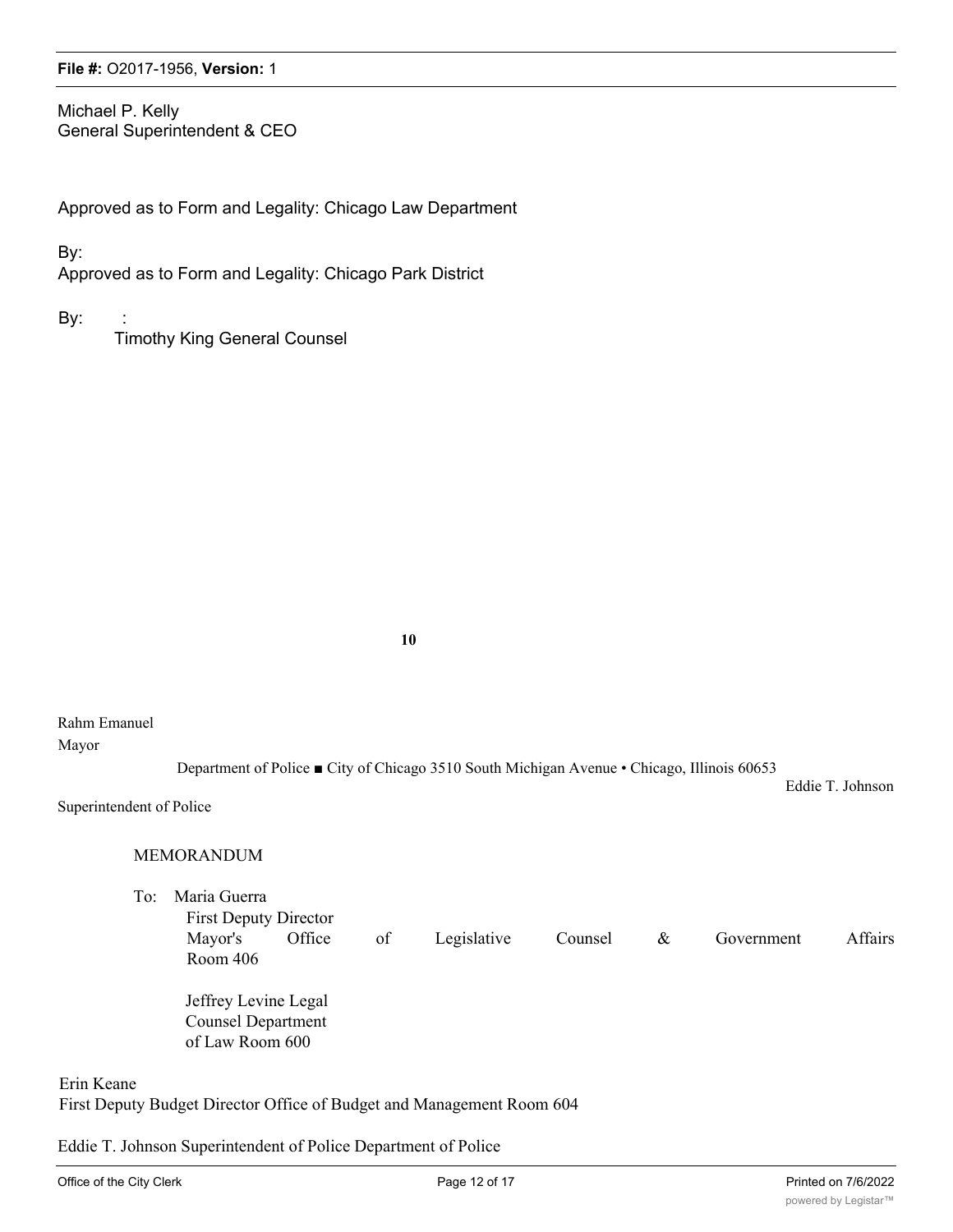Michael P. Kelly General Superintendent & CEO

Approved as to Form and Legality: Chicago Law Department

By:

Approved as to Form and Legality: Chicago Park District

By:

Timothy King General Counsel

**10**

#### Rahm Emanuel

Mayor

Department of Police ■ City of Chicago 3510 South Michigan Avenue • Chicago, Illinois 60653

Superintendent of Police

#### MEMORANDUM

To: Maria Guerra First Deputy Director Mayor's Office of Legislative Counsel & Government Affairs Room 406 Jeffrey Levine Legal Counsel Department

of Law Room 600

Erin Keane

First Deputy Budget Director Office of Budget and Management Room 604

Eddie T. Johnson Superintendent of Police Department of Police

Eddie T. Johnson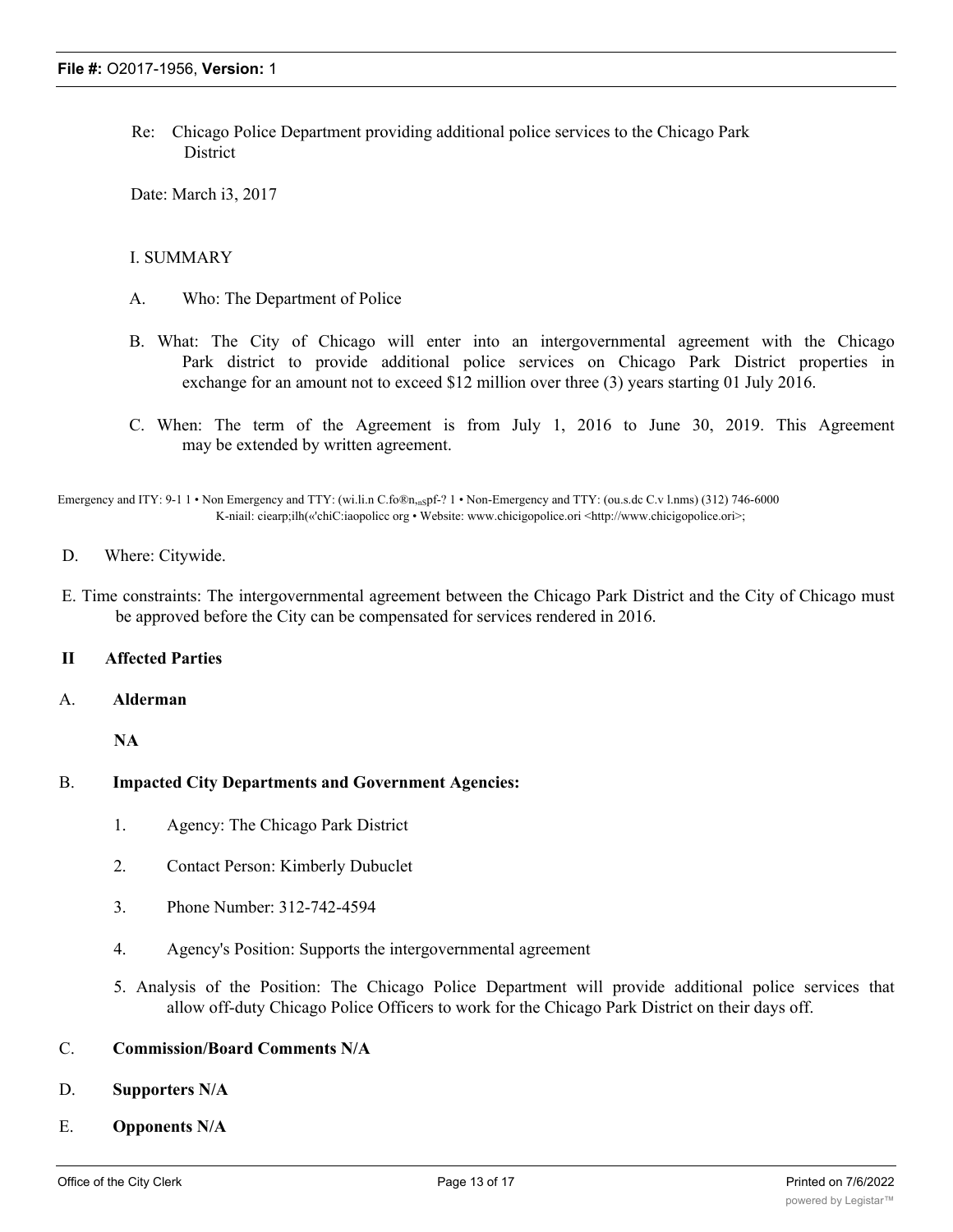Re: Chicago Police Department providing additional police services to the Chicago Park **District** 

Date: March i3, 2017

#### I. SUMMARY

- A. Who: The Department of Police
- B. What: The City of Chicago will enter into an intergovernmental agreement with the Chicago Park district to provide additional police services on Chicago Park District properties in exchange for an amount not to exceed \$12 million over three (3) years starting 01 July 2016.
- C. When: The term of the Agreement is from July 1, 2016 to June 30, 2019. This Agreement may be extended by written agreement.

Emergency and ITY: 9-1 1 • Non Emergency and TTY: (wi.li.n C.fo®n,nspf-? 1 • Non-Emergency and TTY: (ou.s.dc C.v l.nms) (312) 746-6000 K-niail: ciearp;ilh(«'chiC:iaopolicc org • Website: www.chicigopolice.ori <http://www.chicigopolice.ori>;

- D. Where: Citywide.
- E. Time constraints: The intergovernmental agreement between the Chicago Park District and the City of Chicago must be approved before the City can be compensated for services rendered in 2016.

#### **II Affected Parties**

A. **Alderman**

**NA**

#### B. **Impacted City Departments and Government Agencies:**

- 1. Agency: The Chicago Park District
- 2. Contact Person: Kimberly Dubuclet
- 3. Phone Number: 312-742-4594
- 4. Agency's Position: Supports the intergovernmental agreement
- 5. Analysis of the Position: The Chicago Police Department will provide additional police services that allow off-duty Chicago Police Officers to work for the Chicago Park District on their days off.

#### C. **Commission/Board Comments N/A**

#### D. **Supporters N/A**

E. **Opponents N/A**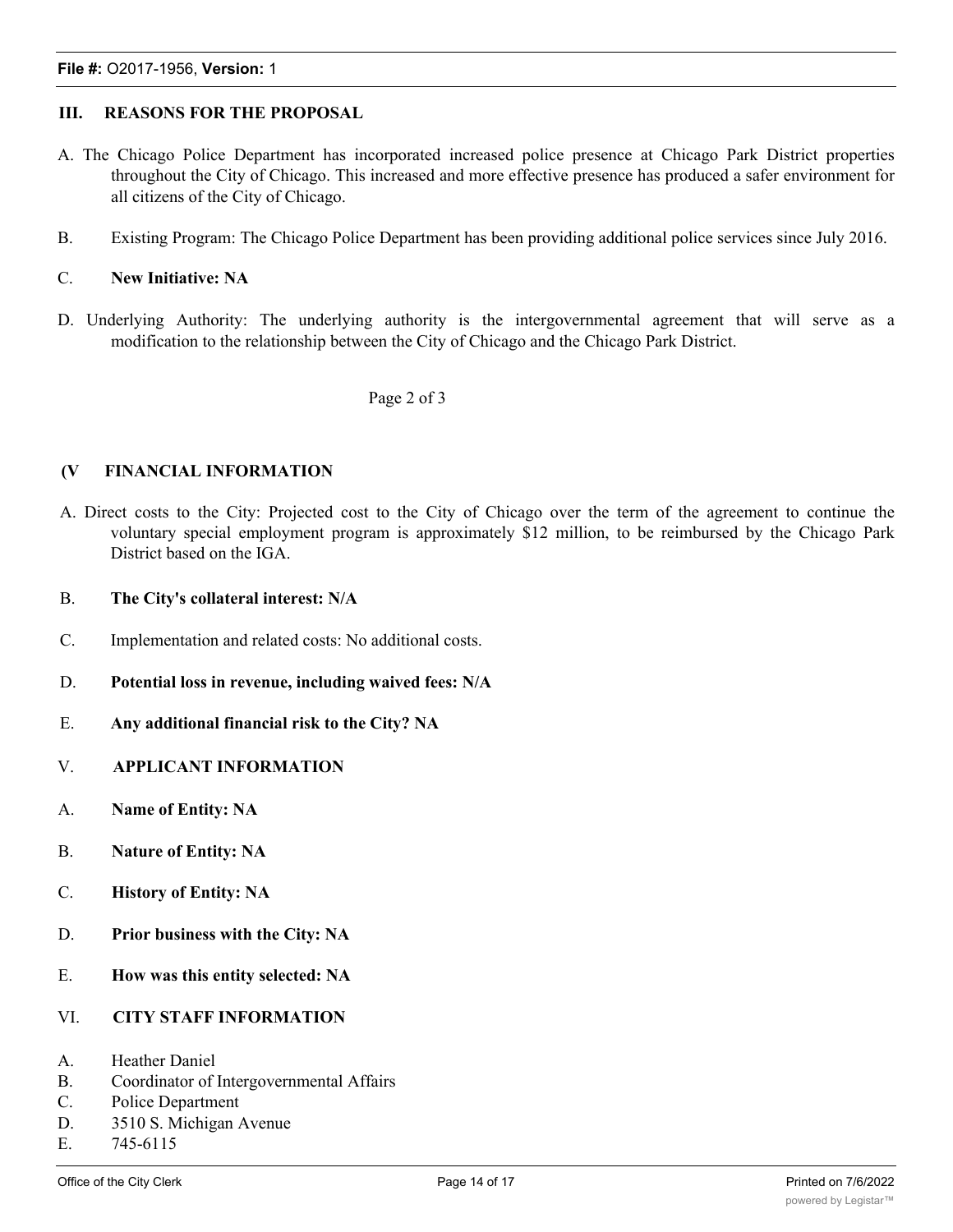#### **III. REASONS FOR THE PROPOSAL**

- A. The Chicago Police Department has incorporated increased police presence at Chicago Park District properties throughout the City of Chicago. This increased and more effective presence has produced a safer environment for all citizens of the City of Chicago.
- B. Existing Program: The Chicago Police Department has been providing additional police services since July 2016.

#### C. **New Initiative: NA**

D. Underlying Authority: The underlying authority is the intergovernmental agreement that will serve as a modification to the relationship between the City of Chicago and the Chicago Park District.

#### Page 2 of 3

#### **(V FINANCIAL INFORMATION**

- A. Direct costs to the City: Projected cost to the City of Chicago over the term of the agreement to continue the voluntary special employment program is approximately \$12 million, to be reimbursed by the Chicago Park District based on the IGA.
- B. **The City's collateral interest: N/A**
- C. Implementation and related costs: No additional costs.
- D. **Potential loss in revenue, including waived fees: N/A**
- E. **Any additional financial risk to the City? NA**
- V. **APPLICANT INFORMATION**
- A. **Name of Entity: NA**
- B. **Nature of Entity: NA**
- C. **History of Entity: NA**
- D. **Prior business with the City: NA**
- E. **How was this entity selected: NA**
- VI. **CITY STAFF INFORMATION**
- A. Heather Daniel
- B. Coordinator of Intergovernmental Affairs
- C. Police Department
- D. 3510 S. Michigan Avenue
- E. 745-6115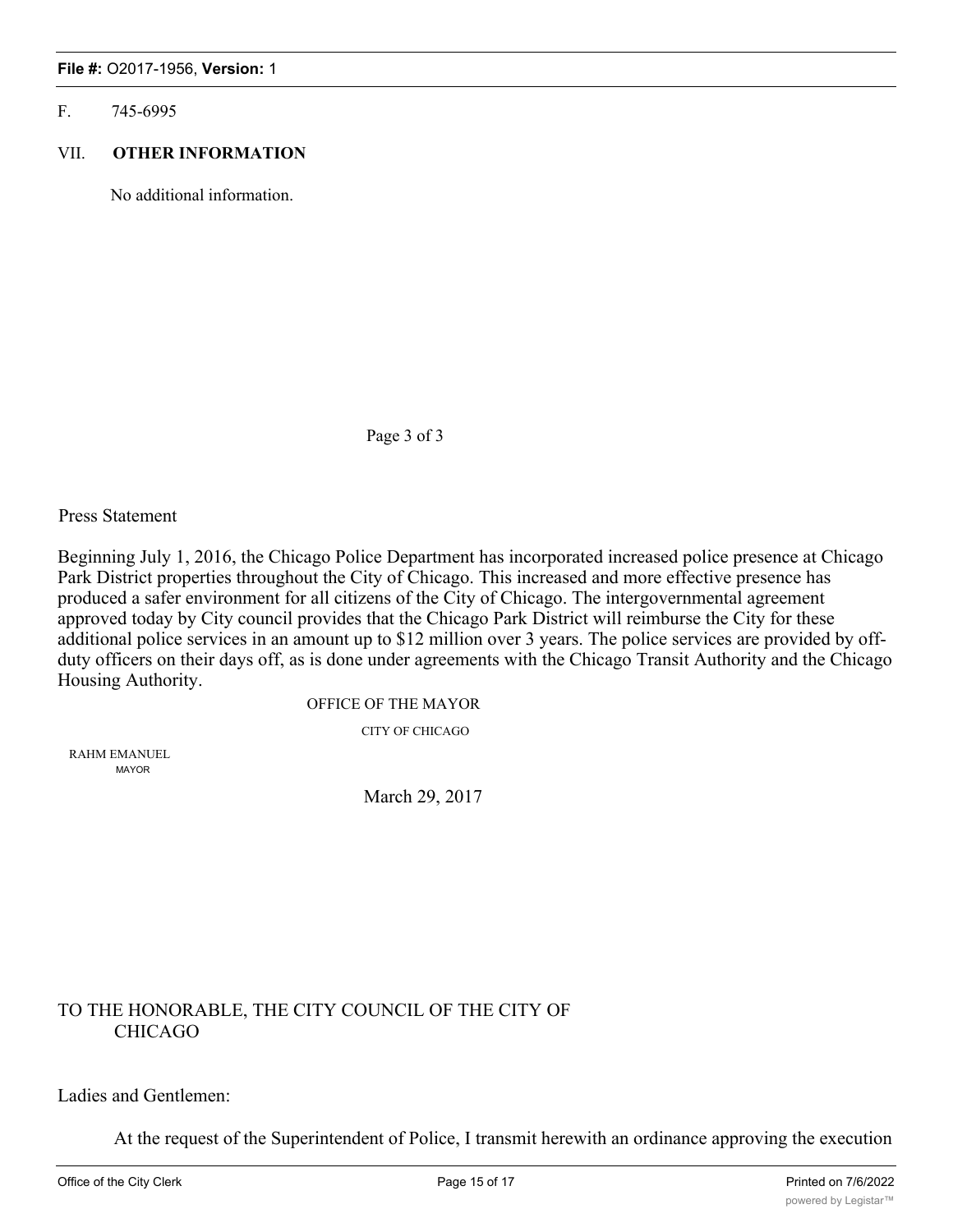#### F. 745-6995

#### VII. **OTHER INFORMATION**

No additional information.

Page 3 of 3

Press Statement

Beginning July 1, 2016, the Chicago Police Department has incorporated increased police presence at Chicago Park District properties throughout the City of Chicago. This increased and more effective presence has produced a safer environment for all citizens of the City of Chicago. The intergovernmental agreement approved today by City council provides that the Chicago Park District will reimburse the City for these additional police services in an amount up to \$12 million over 3 years. The police services are provided by offduty officers on their days off, as is done under agreements with the Chicago Transit Authority and the Chicago Housing Authority.

OFFICE OF THE MAYOR

CITY OF CHICAGO

RAHM EMANUEL MAYOR

March 29, 2017

## TO THE HONORABLE, THE CITY COUNCIL OF THE CITY OF CHICAGO

#### Ladies and Gentlemen:

At the request of the Superintendent of Police, I transmit herewith an ordinance approving the execution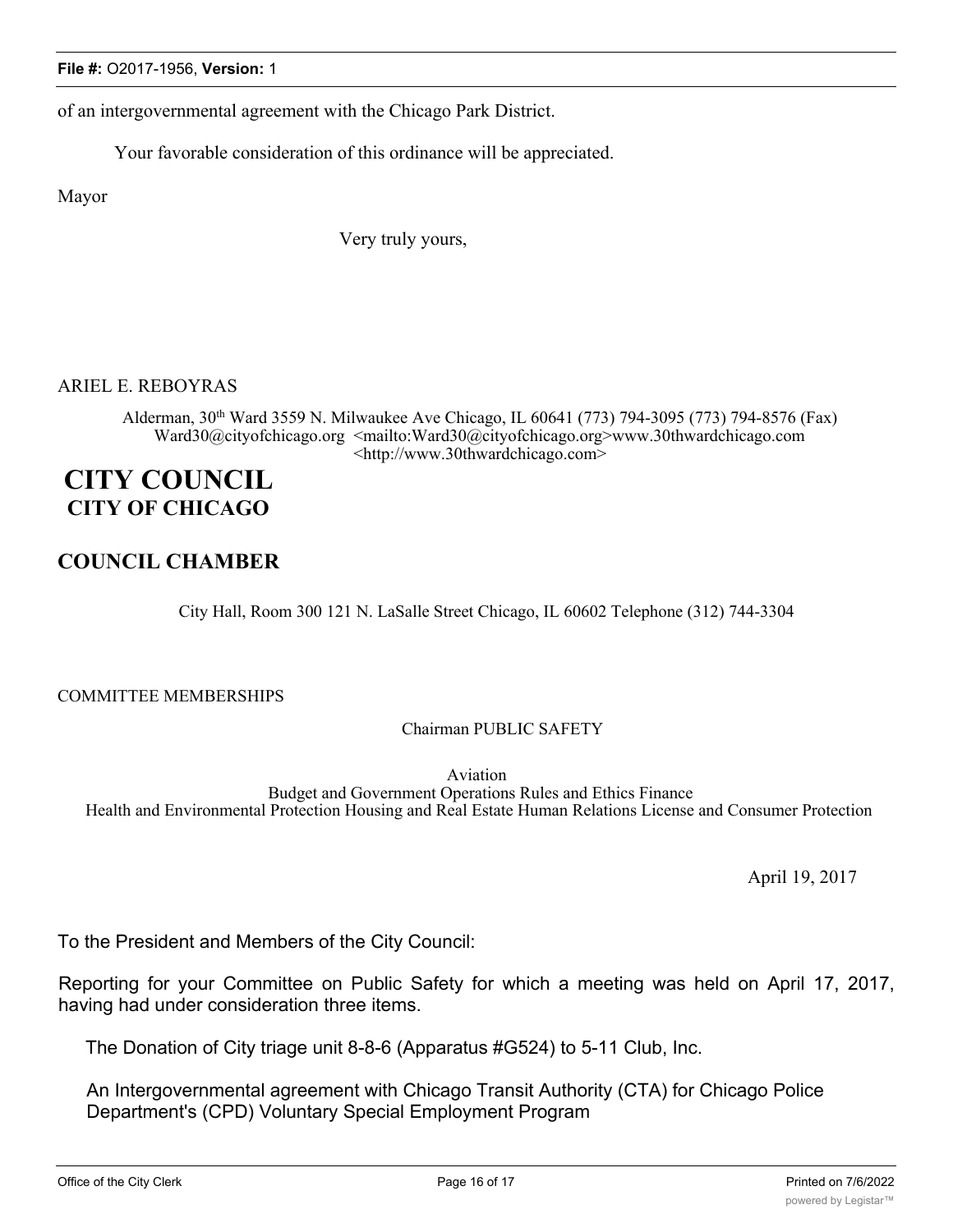of an intergovernmental agreement with the Chicago Park District.

Your favorable consideration of this ordinance will be appreciated.

Mayor

Very truly yours,

### ARIEL E. REBOYRAS

Alderman, 30<sup>th</sup> Ward 3559 N. Milwaukee Ave Chicago, IL 60641 (773) 794-3095 (773) 794-8576 (Fax) Ward30@cityofchicago.org <mailto:Ward30@cityofchicago.org>www.30thwardchicago.com <http://www.30thwardchicago.com>

# **CITY COUNCIL CITY OF CHICAGO**

## **COUNCIL CHAMBER**

City Hall, Room 300 121 N. LaSalle Street Chicago, IL 60602 Telephone (312) 744-3304

COMMITTEE MEMBERSHIPS

Chairman PUBLIC SAFETY

Aviation Budget and Government Operations Rules and Ethics Finance Health and Environmental Protection Housing and Real Estate Human Relations License and Consumer Protection

April 19, 2017

To the President and Members of the City Council:

Reporting for your Committee on Public Safety for which a meeting was held on April 17, 2017, having had under consideration three items.

The Donation of City triage unit 8-8-6 (Apparatus #G524) to 5-11 Club, Inc.

An Intergovernmental agreement with Chicago Transit Authority (CTA) for Chicago Police Department's (CPD) Voluntary Special Employment Program